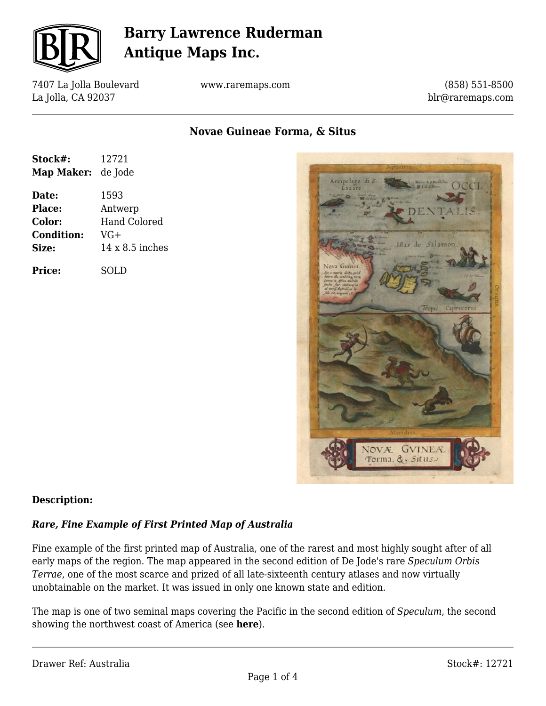

7407 La Jolla Boulevard La Jolla, CA 92037

www.raremaps.com

(858) 551-8500 blr@raremaps.com

**Novae Guineae Forma, & Situs**

| Stock#:<br>Map Maker: | 12721<br>de Jode       |
|-----------------------|------------------------|
| Date:                 | 1593                   |
| Place:                | Antwerp                |
| Color:                | <b>Hand Colored</b>    |
| <b>Condition:</b>     | VG+                    |
| Size:                 | $14 \times 8.5$ inches |
| Price:                | SOLD                   |



#### **Description:**

#### *Rare, Fine Example of First Printed Map of Australia*

Fine example of the first printed map of Australia, one of the rarest and most highly sought after of all early maps of the region. The map appeared in the second edition of De Jode's rare *Speculum Orbis Terrae*, one of the most scarce and prized of all late-sixteenth century atlases and now virtually unobtainable on the market. It was issued in only one known state and edition.

The map is one of two seminal maps covering the Pacific in the second edition of *Speculum*, the second showing the northwest coast of America (see **here**).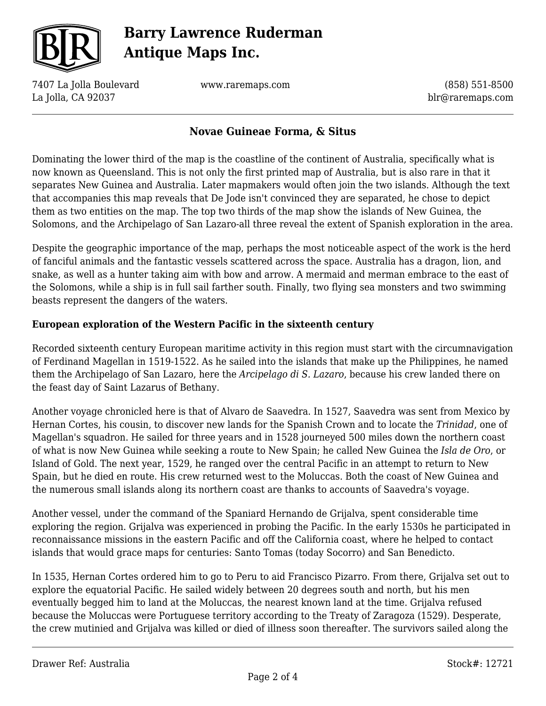

7407 La Jolla Boulevard La Jolla, CA 92037

www.raremaps.com

(858) 551-8500 blr@raremaps.com

### **Novae Guineae Forma, & Situs**

Dominating the lower third of the map is the coastline of the continent of Australia, specifically what is now known as Queensland. This is not only the first printed map of Australia, but is also rare in that it separates New Guinea and Australia. Later mapmakers would often join the two islands. Although the text that accompanies this map reveals that De Jode isn't convinced they are separated, he chose to depict them as two entities on the map. The top two thirds of the map show the islands of New Guinea, the Solomons, and the Archipelago of San Lazaro-all three reveal the extent of Spanish exploration in the area.

Despite the geographic importance of the map, perhaps the most noticeable aspect of the work is the herd of fanciful animals and the fantastic vessels scattered across the space. Australia has a dragon, lion, and snake, as well as a hunter taking aim with bow and arrow. A mermaid and merman embrace to the east of the Solomons, while a ship is in full sail farther south. Finally, two flying sea monsters and two swimming beasts represent the dangers of the waters.

#### **European exploration of the Western Pacific in the sixteenth century**

Recorded sixteenth century European maritime activity in this region must start with the circumnavigation of Ferdinand Magellan in 1519-1522. As he sailed into the islands that make up the Philippines, he named them the Archipelago of San Lazaro, here the *Arcipelago di S. Lazaro*, because his crew landed there on the feast day of Saint Lazarus of Bethany.

Another voyage chronicled here is that of Alvaro de Saavedra. In 1527, Saavedra was sent from Mexico by Hernan Cortes, his cousin, to discover new lands for the Spanish Crown and to locate the *Trinidad*, one of Magellan's squadron. He sailed for three years and in 1528 journeyed 500 miles down the northern coast of what is now New Guinea while seeking a route to New Spain; he called New Guinea the *Isla de Oro*, or Island of Gold. The next year, 1529, he ranged over the central Pacific in an attempt to return to New Spain, but he died en route. His crew returned west to the Moluccas. Both the coast of New Guinea and the numerous small islands along its northern coast are thanks to accounts of Saavedra's voyage.

Another vessel, under the command of the Spaniard Hernando de Grijalva, spent considerable time exploring the region. Grijalva was experienced in probing the Pacific. In the early 1530s he participated in reconnaissance missions in the eastern Pacific and off the California coast, where he helped to contact islands that would grace maps for centuries: Santo Tomas (today Socorro) and San Benedicto.

In 1535, Hernan Cortes ordered him to go to Peru to aid Francisco Pizarro. From there, Grijalva set out to explore the equatorial Pacific. He sailed widely between 20 degrees south and north, but his men eventually begged him to land at the Moluccas, the nearest known land at the time. Grijalva refused because the Moluccas were Portuguese territory according to the Treaty of Zaragoza (1529). Desperate, the crew mutinied and Grijalva was killed or died of illness soon thereafter. The survivors sailed along the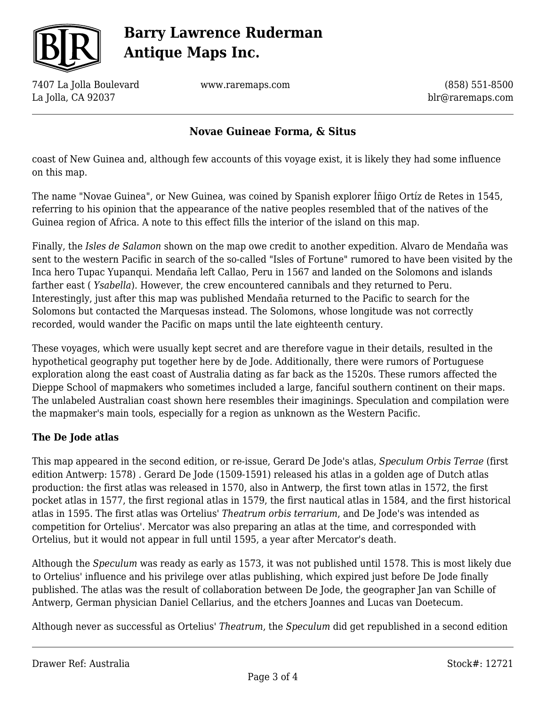

7407 La Jolla Boulevard La Jolla, CA 92037

www.raremaps.com

(858) 551-8500 blr@raremaps.com

### **Novae Guineae Forma, & Situs**

coast of New Guinea and, although few accounts of this voyage exist, it is likely they had some influence on this map.

The name "Novae Guinea", or New Guinea, was coined by Spanish explorer Íñigo Ortíz de Retes in 1545, referring to his opinion that the appearance of the native peoples resembled that of the natives of the Guinea region of Africa. A note to this effect fills the interior of the island on this map.

Finally, the *Isles de Salamon* shown on the map owe credit to another expedition. Alvaro de Mendaña was sent to the western Pacific in search of the so-called "Isles of Fortune" rumored to have been visited by the Inca hero Tupac Yupanqui. Mendaña left Callao, Peru in 1567 and landed on the Solomons and islands farther east ( *Ysabella*). However, the crew encountered cannibals and they returned to Peru. Interestingly, just after this map was published Mendaña returned to the Pacific to search for the Solomons but contacted the Marquesas instead. The Solomons, whose longitude was not correctly recorded, would wander the Pacific on maps until the late eighteenth century.

These voyages, which were usually kept secret and are therefore vague in their details, resulted in the hypothetical geography put together here by de Jode. Additionally, there were rumors of Portuguese exploration along the east coast of Australia dating as far back as the 1520s. These rumors affected the Dieppe School of mapmakers who sometimes included a large, fanciful southern continent on their maps. The unlabeled Australian coast shown here resembles their imaginings. Speculation and compilation were the mapmaker's main tools, especially for a region as unknown as the Western Pacific.

#### **The De Jode atlas**

This map appeared in the second edition, or re-issue, Gerard De Jode's atlas, *Speculum Orbis Terrae* (first edition Antwerp: 1578) *.* Gerard De Jode (1509-1591) released his atlas in a golden age of Dutch atlas production: the first atlas was released in 1570, also in Antwerp, the first town atlas in 1572, the first pocket atlas in 1577, the first regional atlas in 1579, the first nautical atlas in 1584, and the first historical atlas in 1595. The first atlas was Ortelius' *Theatrum orbis terrarium*, and De Jode's was intended as competition for Ortelius'. Mercator was also preparing an atlas at the time, and corresponded with Ortelius, but it would not appear in full until 1595, a year after Mercator's death.

Although the *Speculum* was ready as early as 1573, it was not published until 1578. This is most likely due to Ortelius' influence and his privilege over atlas publishing, which expired just before De Jode finally published. The atlas was the result of collaboration between De Jode, the geographer Jan van Schille of Antwerp, German physician Daniel Cellarius, and the etchers Joannes and Lucas van Doetecum.

Although never as successful as Ortelius' *Theatrum*, the *Speculum* did get republished in a second edition